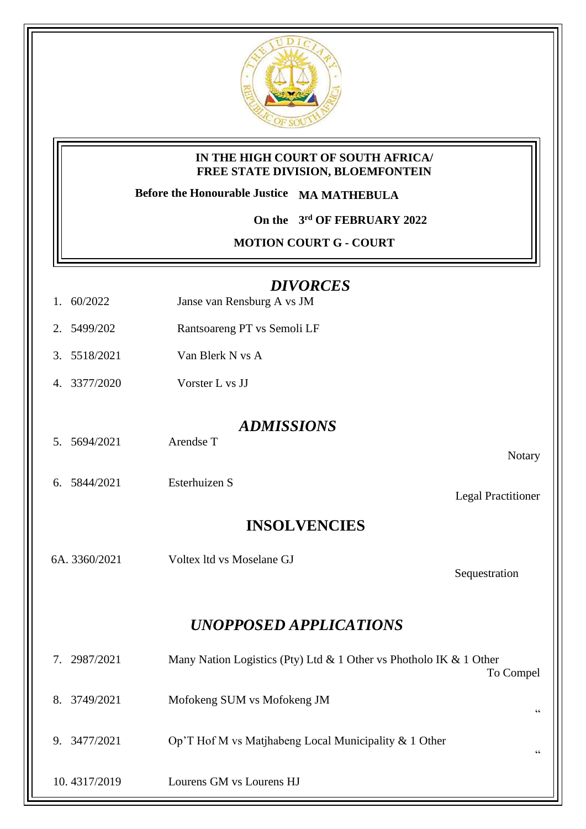

## **IN THE HIGH COURT OF SOUTH AFRICA/ FREE STATE DIVISION, BLOEMFONTEIN**

**Before the Honourable Justice MA MATHEBULA**

**On the 3 rd OF FEBRUARY 2022**

**MOTION COURT G - COURT** 

| <b>DIVORCES</b> |
|-----------------|
|-----------------|

- 1. 60/2022 Janse van Rensburg A vs JM
- 2. 5499/202 Rantsoareng PT vs Semoli LF
- 3. 5518/2021 Van Blerk N vs A
- 4. 3377/2020 Vorster L vs JJ

*ADMISSIONS*

- 5. 5694/2021 Arendse T
- 6. 5844/2021 Esterhuizen S

Legal Practitioner

Notary

**INSOLVENCIES**

6A. 3360/2021 Voltex ltd vs Moselane GJ

Sequestration

## *UNOPPOSED APPLICATIONS*

| 2987/2021<br>7. | Many Nation Logistics (Pty) Ltd & 1 Other vs Photholo IK & 1 Other | To Compel |
|-----------------|--------------------------------------------------------------------|-----------|
| 3749/2021<br>8. | Mofokeng SUM vs Mofokeng JM                                        | 66        |
| 9. 3477/2021    | Op'T Hof M vs Matjhabeng Local Municipality $& 1$ Other            | 66        |
| 10.4317/2019    | Lourens GM vs Lourens HJ                                           |           |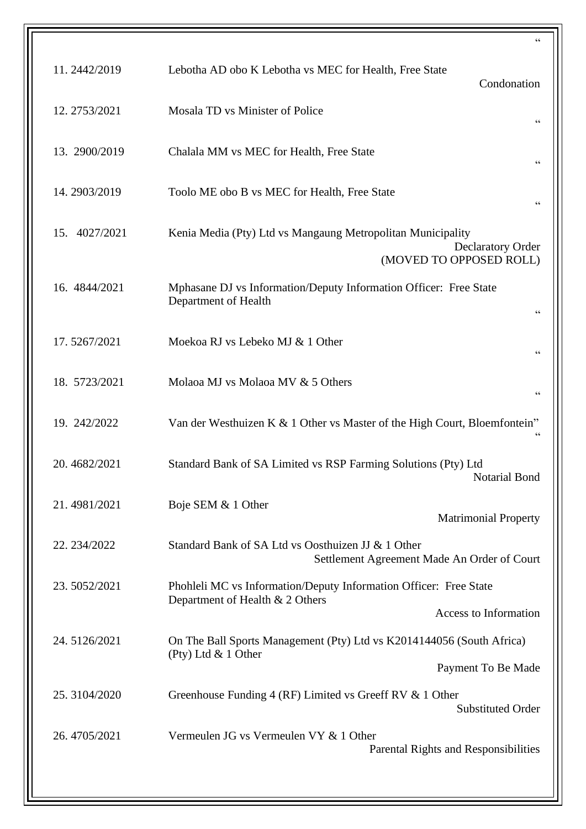|               | $\mbox{\bf G}$                                                                                                                |
|---------------|-------------------------------------------------------------------------------------------------------------------------------|
| 11.2442/2019  | Lebotha AD obo K Lebotha vs MEC for Health, Free State<br>Condonation                                                         |
| 12.2753/2021  | Mosala TD vs Minister of Police<br>$\zeta$ $\zeta$                                                                            |
| 13. 2900/2019 | Chalala MM vs MEC for Health, Free State<br>$\zeta$ $\zeta$                                                                   |
| 14.2903/2019  | Toolo ME obo B vs MEC for Health, Free State<br>$\zeta$ $\zeta$                                                               |
| 15. 4027/2021 | Kenia Media (Pty) Ltd vs Mangaung Metropolitan Municipality<br><b>Declaratory Order</b><br>(MOVED TO OPPOSED ROLL)            |
| 16. 4844/2021 | Mphasane DJ vs Information/Deputy Information Officer: Free State<br>Department of Health                                     |
| 17.5267/2021  | Moekoa RJ vs Lebeko MJ & 1 Other<br>$\mbox{\bf G}$                                                                            |
| 18. 5723/2021 | Molaoa MJ vs Molaoa MV & 5 Others<br>$\mbox{\bf G}$                                                                           |
| 19. 242/2022  | Van der Westhuizen K & 1 Other vs Master of the High Court, Bloemfontein"                                                     |
| 20.4682/2021  | Standard Bank of SA Limited vs RSP Farming Solutions (Pty) Ltd<br>Notarial Bond                                               |
| 21.4981/2021  | Boje SEM & 1 Other<br><b>Matrimonial Property</b>                                                                             |
| 22. 234/2022  | Standard Bank of SA Ltd vs Oosthuizen JJ & 1 Other<br>Settlement Agreement Made An Order of Court                             |
| 23.5052/2021  | Phohleli MC vs Information/Deputy Information Officer: Free State<br>Department of Health & 2 Others<br>Access to Information |
| 24.5126/2021  | On The Ball Sports Management (Pty) Ltd vs K2014144056 (South Africa)<br>(Pty) Ltd & 1 Other<br>Payment To Be Made            |
| 25.3104/2020  | Greenhouse Funding 4 (RF) Limited vs Greeff RV & 1 Other<br><b>Substituted Order</b>                                          |
| 26.4705/2021  | Vermeulen JG vs Vermeulen VY & 1 Other<br>Parental Rights and Responsibilities                                                |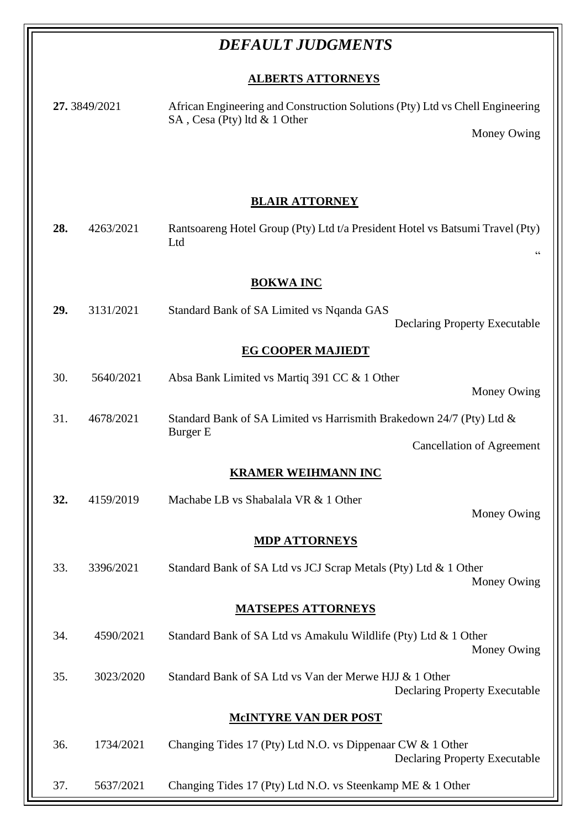## *DEFAULT JUDGMENTS*

## **ALBERTS ATTORNEYS**

| 27.3849/2021<br>African Engineering and Construction Solutions (Pty) Ltd vs Chell Engineering<br>SA, Cesa (Pty) ltd & 1 Other<br>Money Owing |    |  |  |  |
|----------------------------------------------------------------------------------------------------------------------------------------------|----|--|--|--|
|                                                                                                                                              |    |  |  |  |
| <b>BLAIR ATTORNEY</b>                                                                                                                        |    |  |  |  |
| 28.<br>4263/2021<br>Rantsoareng Hotel Group (Pty) Ltd t/a President Hotel vs Batsumi Travel (Pty)<br>Ltd                                     | 66 |  |  |  |
| <b>BOKWA INC</b>                                                                                                                             |    |  |  |  |
| 29.<br>3131/2021<br>Standard Bank of SA Limited vs Nqanda GAS<br><b>Declaring Property Executable</b>                                        |    |  |  |  |
| <b>EG COOPER MAJIEDT</b>                                                                                                                     |    |  |  |  |
| 30.<br>5640/2021<br>Absa Bank Limited vs Martiq 391 CC & 1 Other<br>Money Owing                                                              |    |  |  |  |
| 31.<br>4678/2021<br>Standard Bank of SA Limited vs Harrismith Brakedown 24/7 (Pty) Ltd &<br>Burger E                                         |    |  |  |  |
| <b>Cancellation of Agreement</b>                                                                                                             |    |  |  |  |
| <b>KRAMER WEIHMANN INC</b>                                                                                                                   |    |  |  |  |
| Machabe LB vs Shabalala VR & 1 Other<br>32.<br>4159/2019<br>Money Owing                                                                      |    |  |  |  |
| <b>MDP ATTORNEYS</b>                                                                                                                         |    |  |  |  |
| 33.<br>3396/2021<br>Standard Bank of SA Ltd vs JCJ Scrap Metals (Pty) Ltd & 1 Other<br>Money Owing                                           |    |  |  |  |
| <b>MATSEPES ATTORNEYS</b>                                                                                                                    |    |  |  |  |
| 34.<br>4590/2021<br>Standard Bank of SA Ltd vs Amakulu Wildlife (Pty) Ltd & 1 Other<br>Money Owing                                           |    |  |  |  |
| Standard Bank of SA Ltd vs Van der Merwe HJJ & 1 Other<br>35.<br>3023/2020<br><b>Declaring Property Executable</b>                           |    |  |  |  |
| <b>MCINTYRE VAN DER POST</b>                                                                                                                 |    |  |  |  |
| 36.<br>1734/2021<br>Changing Tides 17 (Pty) Ltd N.O. vs Dippenaar CW & 1 Other<br><b>Declaring Property Executable</b>                       |    |  |  |  |
| 37.<br>5637/2021<br>Changing Tides 17 (Pty) Ltd N.O. vs Steenkamp ME & 1 Other                                                               |    |  |  |  |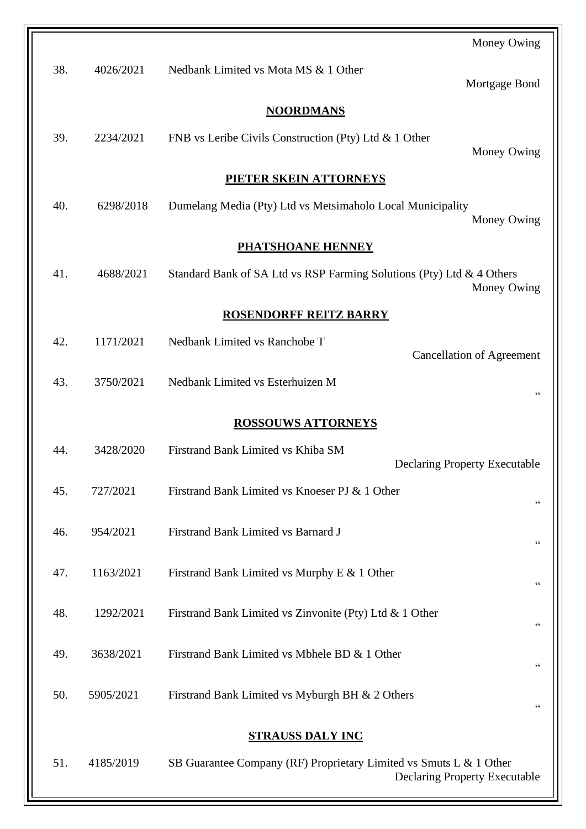|                         |                           | Money Owing                                                                                                |  |  |  |
|-------------------------|---------------------------|------------------------------------------------------------------------------------------------------------|--|--|--|
| 38.                     | 4026/2021                 | Nedbank Limited vs Mota MS & 1 Other<br>Mortgage Bond                                                      |  |  |  |
|                         |                           | <b>NOORDMANS</b>                                                                                           |  |  |  |
| 39.                     | 2234/2021                 | FNB vs Leribe Civils Construction (Pty) Ltd $\&$ 1 Other<br>Money Owing                                    |  |  |  |
|                         |                           | PIETER SKEIN ATTORNEYS                                                                                     |  |  |  |
| 40.                     | 6298/2018                 | Dumelang Media (Pty) Ltd vs Metsimaholo Local Municipality<br>Money Owing                                  |  |  |  |
|                         |                           | <b>PHATSHOANE HENNEY</b>                                                                                   |  |  |  |
| 41.                     | 4688/2021                 | Standard Bank of SA Ltd vs RSP Farming Solutions (Pty) Ltd & 4 Others<br>Money Owing                       |  |  |  |
|                         |                           | <b>ROSENDORFF REITZ BARRY</b>                                                                              |  |  |  |
| 42.                     | 1171/2021                 | Nedbank Limited vs Ranchobe T<br><b>Cancellation of Agreement</b>                                          |  |  |  |
| 43.                     | 3750/2021                 | Nedbank Limited vs Esterhuizen M<br>66                                                                     |  |  |  |
|                         | <b>ROSSOUWS ATTORNEYS</b> |                                                                                                            |  |  |  |
| 44.                     | 3428/2020                 | Firstrand Bank Limited vs Khiba SM<br><b>Declaring Property Executable</b>                                 |  |  |  |
| 45.                     | 727/2021                  | Firstrand Bank Limited vs Knoeser PJ & 1 Other<br>$\mbox{\bf G}$                                           |  |  |  |
| 46.                     | 954/2021                  | Firstrand Bank Limited vs Barnard J<br>$\mbox{\bf G}$                                                      |  |  |  |
| 47.                     | 1163/2021                 | Firstrand Bank Limited vs Murphy E & 1 Other<br>66                                                         |  |  |  |
| 48.                     | 1292/2021                 | Firstrand Bank Limited vs Zinvonite (Pty) Ltd & 1 Other<br>$\mbox{\bf G}$                                  |  |  |  |
| 49.                     | 3638/2021                 | Firstrand Bank Limited vs Mbhele BD & 1 Other<br>$\mbox{\bf G}$                                            |  |  |  |
| 50.                     | 5905/2021                 | Firstrand Bank Limited vs Myburgh BH & 2 Others<br>$\mbox{\bf G}$                                          |  |  |  |
| <b>STRAUSS DALY INC</b> |                           |                                                                                                            |  |  |  |
| 51.                     | 4185/2019                 | SB Guarantee Company (RF) Proprietary Limited vs Smuts L & 1 Other<br><b>Declaring Property Executable</b> |  |  |  |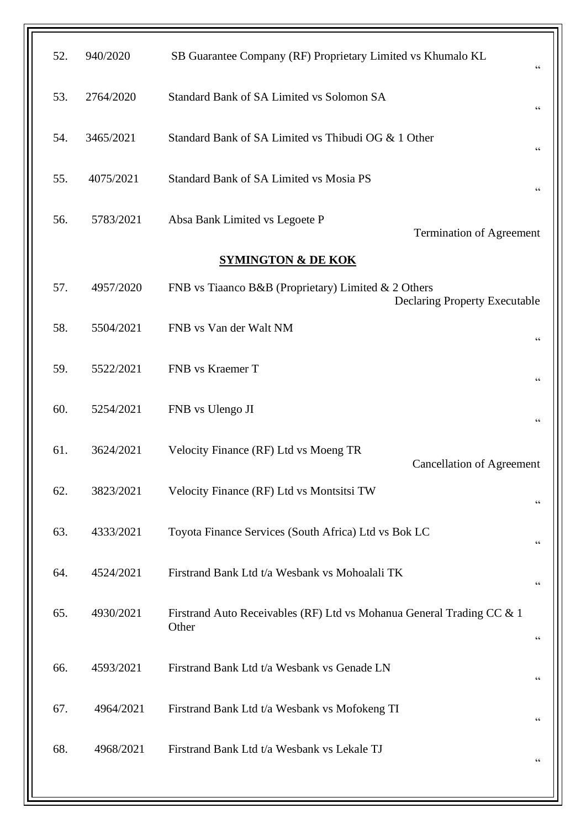| 52. | 940/2020  | SB Guarantee Company (RF) Proprietary Limited vs Khumalo KL<br>66     |  |
|-----|-----------|-----------------------------------------------------------------------|--|
| 53. | 2764/2020 | Standard Bank of SA Limited vs Solomon SA<br>66                       |  |
| 54. | 3465/2021 | Standard Bank of SA Limited vs Thibudi OG & 1 Other                   |  |
| 55. | 4075/2021 | Standard Bank of SA Limited vs Mosia PS<br>66                         |  |
| 56. | 5783/2021 | Absa Bank Limited vs Legoete P<br><b>Termination of Agreement</b>     |  |
|     |           | <b>SYMINGTON &amp; DE KOK</b>                                         |  |
| 57. | 4957/2020 | FNB vs Tiaanco B&B (Proprietary) Limited & 2 Others                   |  |
|     |           | <b>Declaring Property Executable</b>                                  |  |
| 58. | 5504/2021 | FNB vs Van der Walt NM                                                |  |
|     |           |                                                                       |  |
| 59. | 5522/2021 | FNB vs Kraemer T<br>66                                                |  |
| 60. | 5254/2021 | FNB vs Ulengo JI                                                      |  |
|     |           |                                                                       |  |
| 61. | 3624/2021 | Velocity Finance (RF) Ltd vs Moeng TR                                 |  |
|     |           | <b>Cancellation of Agreement</b>                                      |  |
| 62. | 3823/2021 | Velocity Finance (RF) Ltd vs Montsitsi TW<br>66                       |  |
| 63. | 4333/2021 | Toyota Finance Services (South Africa) Ltd vs Bok LC                  |  |
|     |           |                                                                       |  |
| 64. | 4524/2021 | Firstrand Bank Ltd t/a Wesbank vs Mohoalali TK<br>66                  |  |
| 65. | 4930/2021 | Firstrand Auto Receivables (RF) Ltd vs Mohanua General Trading CC & 1 |  |
|     |           | Other<br>66                                                           |  |
|     |           |                                                                       |  |
| 66. | 4593/2021 | Firstrand Bank Ltd t/a Wesbank vs Genade LN                           |  |
| 67. | 4964/2021 | Firstrand Bank Ltd t/a Wesbank vs Mofokeng TI                         |  |
|     |           | 66                                                                    |  |
| 68. | 4968/2021 | Firstrand Bank Ltd t/a Wesbank vs Lekale TJ<br>66                     |  |
|     |           |                                                                       |  |